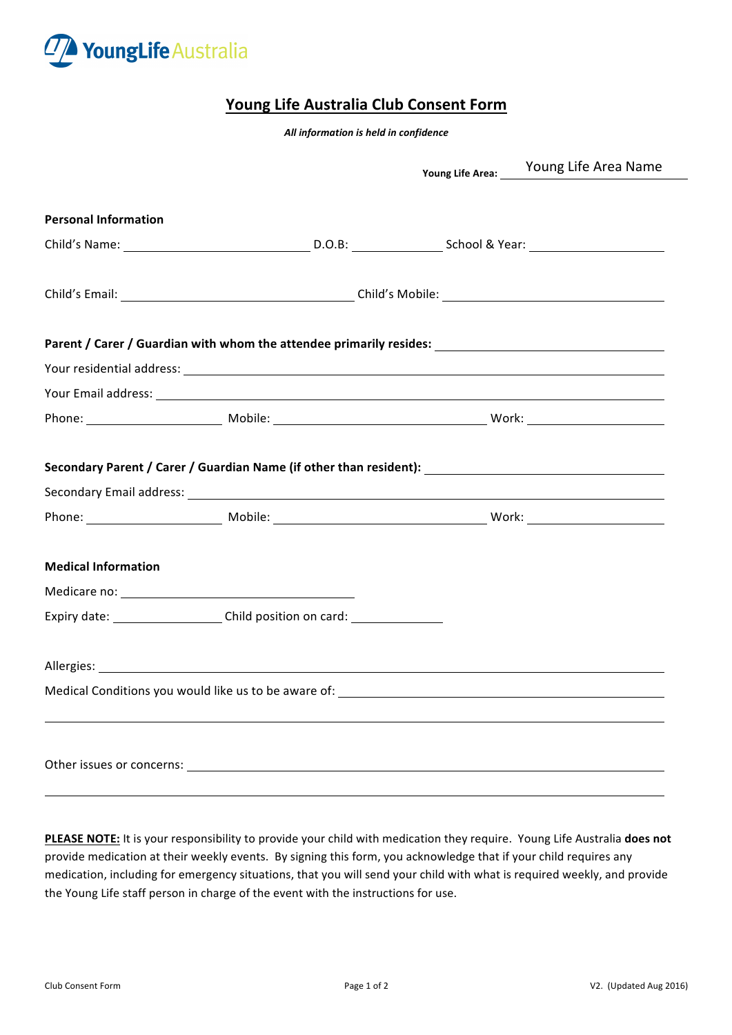

## **Young Life Australia Club Consent Form**

*All information is held in confidence*

|                             |                                                                                                      | Young Life Area: Voung Life Area Name |
|-----------------------------|------------------------------------------------------------------------------------------------------|---------------------------------------|
| <b>Personal Information</b> |                                                                                                      |                                       |
|                             |                                                                                                      |                                       |
|                             |                                                                                                      |                                       |
|                             |                                                                                                      |                                       |
|                             |                                                                                                      |                                       |
|                             |                                                                                                      |                                       |
|                             |                                                                                                      |                                       |
|                             | Secondary Parent / Carer / Guardian Name (if other than resident): _________________________________ |                                       |
| <b>Medical Information</b>  |                                                                                                      |                                       |
|                             |                                                                                                      |                                       |
|                             | Expiry date: ______________________Child position on card: _____________________                     |                                       |
|                             |                                                                                                      |                                       |
|                             |                                                                                                      |                                       |
|                             |                                                                                                      |                                       |

PLEASE NOTE: It is your responsibility to provide your child with medication they require. Young Life Australia does not provide medication at their weekly events. By signing this form, you acknowledge that if your child requires any medication, including for emergency situations, that you will send your child with what is required weekly, and provide the Young Life staff person in charge of the event with the instructions for use.